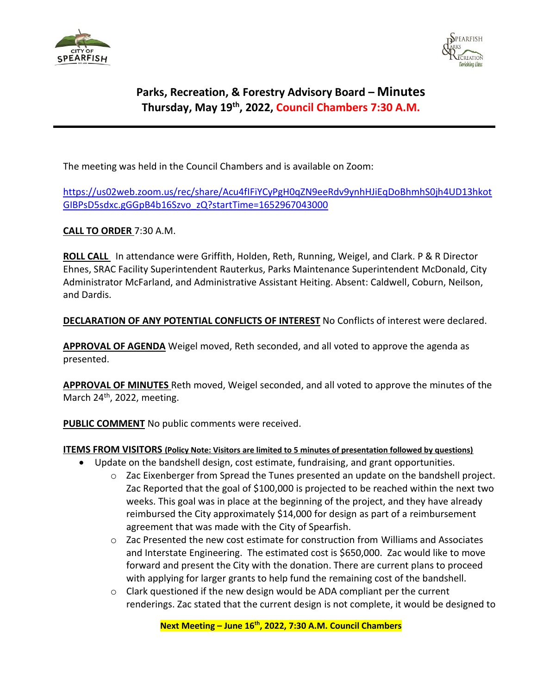



## **Parks, Recreation, & Forestry Advisory Board – Minutes Thursday, May 19th , 2022, Council Chambers 7:30 A.M.**

The meeting was held in the Council Chambers and is available on Zoom:

[https://us02web.zoom.us/rec/share/Acu4fIFiYCyPgH0qZN9eeRdv9ynhHJiEqDoBhmhS0jh4UD13hkot](https://us02web.zoom.us/rec/share/Acu4fIFiYCyPgH0qZN9eeRdv9ynhHJiEqDoBhmhS0jh4UD13hkotGIBPsD5sdxc.gGGpB4b16Szvo_zQ?startTime=1652967043000) [GIBPsD5sdxc.gGGpB4b16Szvo\\_zQ?startTime=1652967043000](https://us02web.zoom.us/rec/share/Acu4fIFiYCyPgH0qZN9eeRdv9ynhHJiEqDoBhmhS0jh4UD13hkotGIBPsD5sdxc.gGGpB4b16Szvo_zQ?startTime=1652967043000)

**CALL TO ORDER** 7:30 A.M.

**ROLL CALL** In attendance were Griffith, Holden, Reth, Running, Weigel, and Clark. P & R Director Ehnes, SRAC Facility Superintendent Rauterkus, Parks Maintenance Superintendent McDonald, City Administrator McFarland, and Administrative Assistant Heiting. Absent: Caldwell, Coburn, Neilson, and Dardis.

### **DECLARATION OF ANY POTENTIAL CONFLICTS OF INTEREST** No Conflicts of interest were declared.

**APPROVAL OF AGENDA** Weigel moved, Reth seconded, and all voted to approve the agenda as presented.

**APPROVAL OF MINUTES** Reth moved, Weigel seconded, and all voted to approve the minutes of the March 24<sup>th</sup>, 2022, meeting.

**PUBLIC COMMENT** No public comments were received.

#### **ITEMS FROM VISITORS (Policy Note: Visitors are limited to 5 minutes of presentation followed by questions)**

- Update on the bandshell design, cost estimate, fundraising, and grant opportunities.
	- $\circ$  Zac Eixenberger from Spread the Tunes presented an update on the bandshell project. Zac Reported that the goal of \$100,000 is projected to be reached within the next two weeks. This goal was in place at the beginning of the project, and they have already reimbursed the City approximately \$14,000 for design as part of a reimbursement agreement that was made with the City of Spearfish.
	- $\circ$  Zac Presented the new cost estimate for construction from Williams and Associates and Interstate Engineering. The estimated cost is \$650,000. Zac would like to move forward and present the City with the donation. There are current plans to proceed with applying for larger grants to help fund the remaining cost of the bandshell.
	- $\circ$  Clark questioned if the new design would be ADA compliant per the current renderings. Zac stated that the current design is not complete, it would be designed to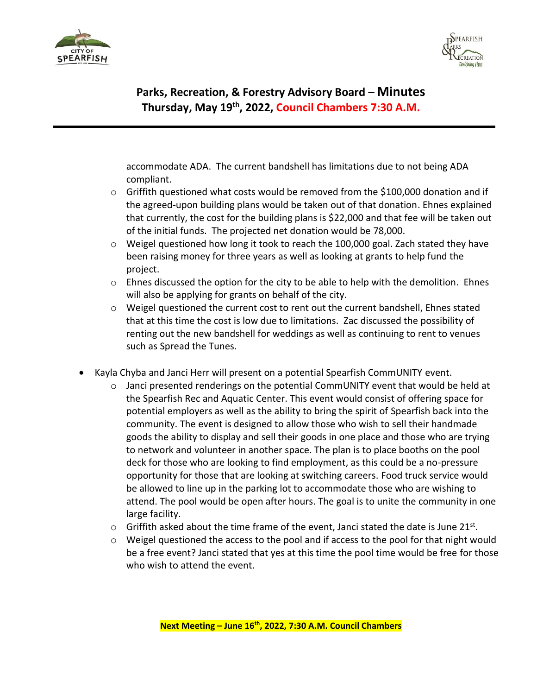



**Parks, Recreation, & Forestry Advisory Board – Minutes Thursday, May 19th , 2022, Council Chambers 7:30 A.M.** 

accommodate ADA. The current bandshell has limitations due to not being ADA compliant.

- $\circ$  Griffith questioned what costs would be removed from the \$100,000 donation and if the agreed-upon building plans would be taken out of that donation. Ehnes explained that currently, the cost for the building plans is \$22,000 and that fee will be taken out of the initial funds. The projected net donation would be 78,000.
- $\circ$  Weigel questioned how long it took to reach the 100,000 goal. Zach stated they have been raising money for three years as well as looking at grants to help fund the project.
- $\circ$  Ehnes discussed the option for the city to be able to help with the demolition. Ehnes will also be applying for grants on behalf of the city.
- $\circ$  Weigel questioned the current cost to rent out the current bandshell, Ehnes stated that at this time the cost is low due to limitations. Zac discussed the possibility of renting out the new bandshell for weddings as well as continuing to rent to venues such as Spread the Tunes.
- Kayla Chyba and Janci Herr will present on a potential Spearfish CommUNITY event.
	- o Janci presented renderings on the potential CommUNITY event that would be held at the Spearfish Rec and Aquatic Center. This event would consist of offering space for potential employers as well as the ability to bring the spirit of Spearfish back into the community. The event is designed to allow those who wish to sell their handmade goods the ability to display and sell their goods in one place and those who are trying to network and volunteer in another space. The plan is to place booths on the pool deck for those who are looking to find employment, as this could be a no-pressure opportunity for those that are looking at switching careers. Food truck service would be allowed to line up in the parking lot to accommodate those who are wishing to attend. The pool would be open after hours. The goal is to unite the community in one large facility.
	- $\circ$  Griffith asked about the time frame of the event, Janci stated the date is June 21st.
	- $\circ$  Weigel questioned the access to the pool and if access to the pool for that night would be a free event? Janci stated that yes at this time the pool time would be free for those who wish to attend the event.